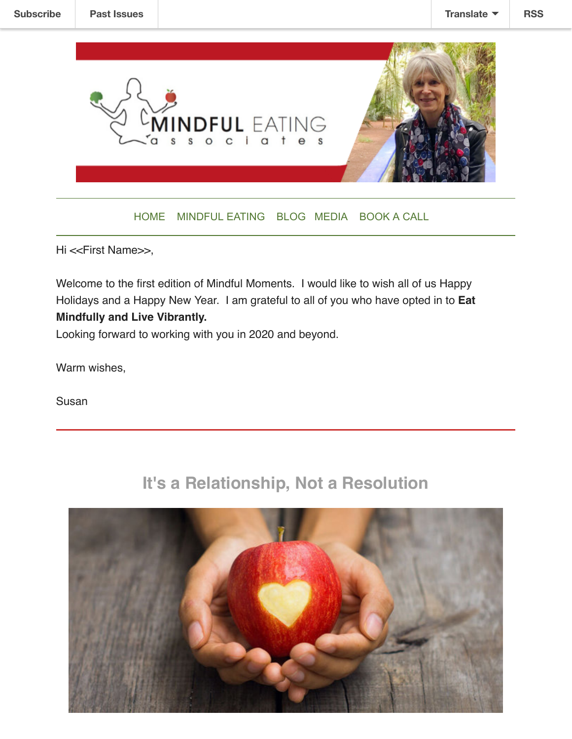

#### [HOME](https://www.mbecoach.com/) [MINDFUL EATING](https://www.mbecoach.com/services) [BLOG](https://www.mbecoach.com/blog) [MEDIA](https://www.mbecoach.com/in-the-news) [BOOK A CALL](https://www.mbecoach.com/book-and-appointment)

Hi <<First Name>>,

Welcome to the first edition of Mindful Moments. I would like to wish all of us Happy Holidays and a Happy New Year. I am grateful to all of you who have opted in to **Eat Mindfully and Live Vibrantly.** 

Looking forward to working with you in 2020 and beyond.

Warm wishes,

Susan

## **It's a Relationship, Not a Resolution**

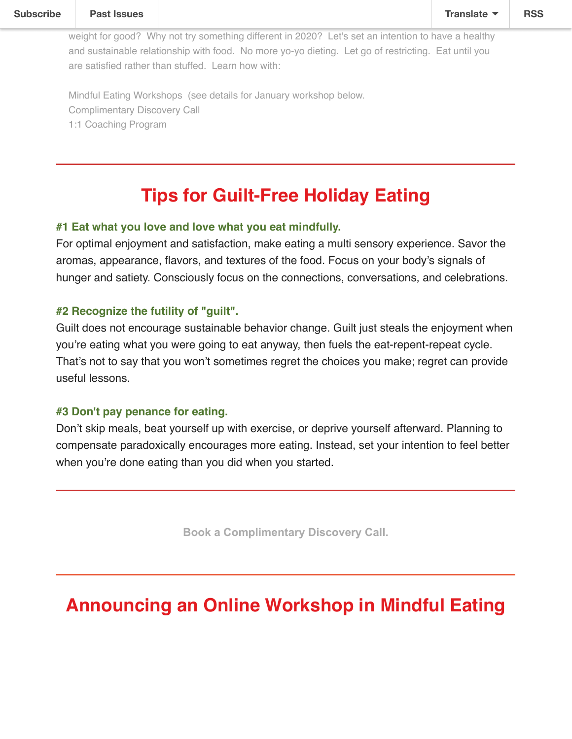Mindful Eating Workshops (see details for January workshop below. Complimentary Discovery Call 1:1 Coaching Program

# **Tips for Guilt-Free Holiday Eating**

### **#1 Eat what you love and love what you eat mindfully.**

For optimal enjoyment and satisfaction, make eating a multi sensory experience. Savor the aromas, appearance, flavors, and textures of the food. Focus on your body's signals of hunger and satiety. Consciously focus on the connections, conversations, and celebrations.

### **#2 Recognize the futility of "guilt".**

Guilt does not encourage sustainable behavior change. Guilt just steals the enjoyment when you're eating what you were going to eat anyway, then fuels the eat-repent-repeat cycle. That's not to say that you won't sometimes regret the choices you make; regret can provide useful lessons.

#### **#3 Don't pay penance for eating.**

Don't skip meals, beat yourself up with exercise, or deprive yourself afterward. Planning to compensate paradoxically encourages more eating. Instead, set your intention to feel better when you're done eating than you did when you started.

**[Book a Complimentary Discovery Call.](https://www.mbecoach.com/book-an-appointment)**

# **Announcing an Online Workshop in Mindful Eating**